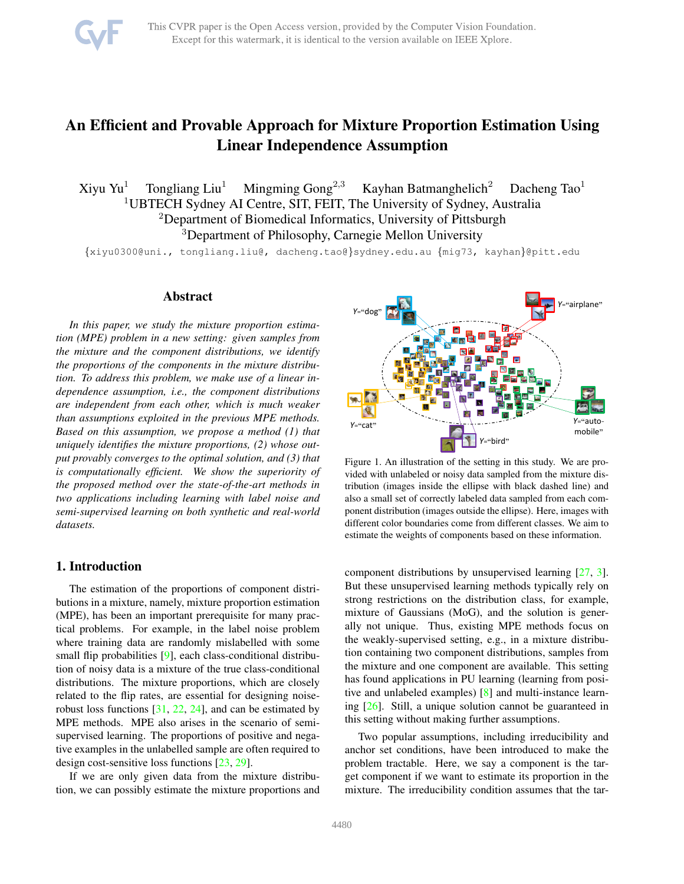

# <span id="page-0-1"></span>An Efficient and Provable Approach for Mixture Proportion Estimation Using Linear Independence Assumption

Xiyu Yu<sup>1</sup> Tongliang Liu<sup>1</sup> Mingming Gong<sup>2,3</sup> Kayhan Batmanghelich<sup>2</sup> Dacheng Tao<sup>1</sup> <sup>1</sup>UBTECH Sydney AI Centre, SIT, FEIT, The University of Sydney, Australia <sup>2</sup>Department of Biomedical Informatics, University of Pittsburgh <sup>3</sup>Department of Philosophy, Carnegie Mellon University

{xiyu0300@uni., tongliang.liu@, dacheng.tao@}sydney.edu.au {mig73, kayhan}@pitt.edu

## Abstract

*In this paper, we study the mixture proportion estimation (MPE) problem in a new setting: given samples from the mixture and the component distributions, we identify the proportions of the components in the mixture distribution. To address this problem, we make use of a linear independence assumption, i.e., the component distributions are independent from each other, which is much weaker than assumptions exploited in the previous MPE methods. Based on this assumption, we propose a method (1) that uniquely identifies the mixture proportions, (2) whose output provably converges to the optimal solution, and (3) that is computationally efficient. We show the superiority of the proposed method over the state-of-the-art methods in two applications including learning with label noise and semi-supervised learning on both synthetic and real-world datasets.*

# 1. Introduction

The estimation of the proportions of component distributions in a mixture, namely, mixture proportion estimation (MPE), has been an important prerequisite for many practical problems. For example, in the label noise problem where training data are randomly mislabelled with some small flip probabilities [\[9\]](#page-8-0), each class-conditional distribution of noisy data is a mixture of the true class-conditional distributions. The mixture proportions, which are closely related to the flip rates, are essential for designing noiserobust loss functions [\[31,](#page-9-0) [22,](#page-8-1) [24\]](#page-8-2), and can be estimated by MPE methods. MPE also arises in the scenario of semisupervised learning. The proportions of positive and negative examples in the unlabelled sample are often required to design cost-sensitive loss functions [\[23,](#page-8-3) [29\]](#page-9-1).

If we are only given data from the mixture distribution, we can possibly estimate the mixture proportions and



<span id="page-0-0"></span>Figure 1. An illustration of the setting in this study. We are provided with unlabeled or noisy data sampled from the mixture distribution (images inside the ellipse with black dashed line) and also a small set of correctly labeled data sampled from each component distribution (images outside the ellipse). Here, images with different color boundaries come from different classes. We aim to estimate the weights of components based on these information.

component distributions by unsupervised learning [\[27,](#page-8-4) [3\]](#page-8-5). But these unsupervised learning methods typically rely on strong restrictions on the distribution class, for example, mixture of Gaussians (MoG), and the solution is generally not unique. Thus, existing MPE methods focus on the weakly-supervised setting, e.g., in a mixture distribution containing two component distributions, samples from the mixture and one component are available. This setting has found applications in PU learning (learning from positive and unlabeled examples) [\[8\]](#page-8-6) and multi-instance learning [\[26\]](#page-8-7). Still, a unique solution cannot be guaranteed in this setting without making further assumptions.

Two popular assumptions, including irreducibility and anchor set conditions, have been introduced to make the problem tractable. Here, we say a component is the target component if we want to estimate its proportion in the mixture. The irreducibility condition assumes that the tar-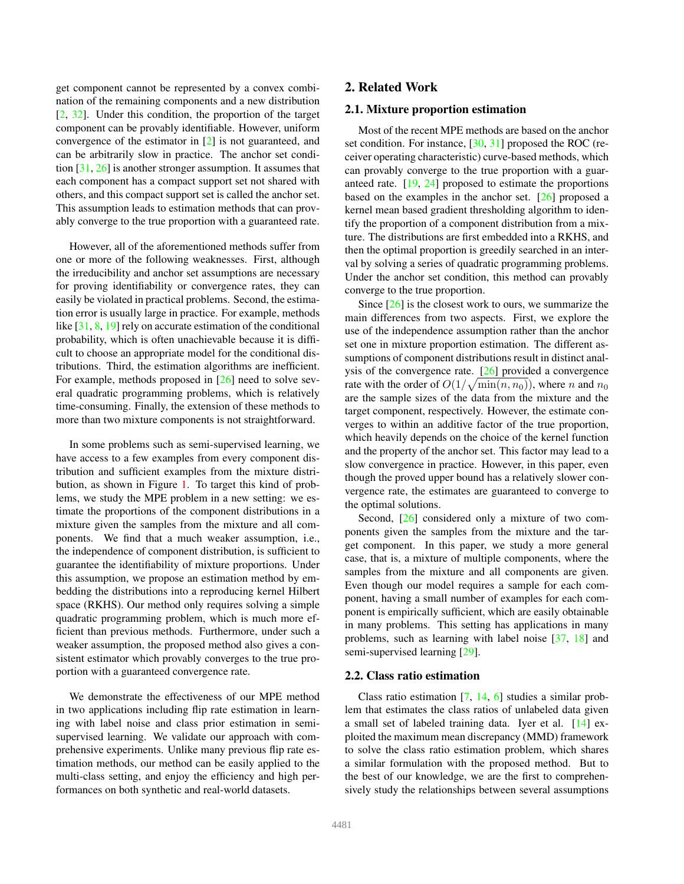<span id="page-1-0"></span>get component cannot be represented by a convex combination of the remaining components and a new distribution [\[2,](#page-8-8) [32\]](#page-9-2). Under this condition, the proportion of the target component can be provably identifiable. However, uniform convergence of the estimator in [\[2\]](#page-8-8) is not guaranteed, and can be arbitrarily slow in practice. The anchor set condition [\[31,](#page-9-0) [26\]](#page-8-7) is another stronger assumption. It assumes that each component has a compact support set not shared with others, and this compact support set is called the anchor set. This assumption leads to estimation methods that can provably converge to the true proportion with a guaranteed rate.

However, all of the aforementioned methods suffer from one or more of the following weaknesses. First, although the irreducibility and anchor set assumptions are necessary for proving identifiability or convergence rates, they can easily be violated in practical problems. Second, the estimation error is usually large in practice. For example, methods like [\[31,](#page-9-0) [8,](#page-8-6) [19\]](#page-8-9) rely on accurate estimation of the conditional probability, which is often unachievable because it is difficult to choose an appropriate model for the conditional distributions. Third, the estimation algorithms are inefficient. For example, methods proposed in [\[26\]](#page-8-7) need to solve several quadratic programming problems, which is relatively time-consuming. Finally, the extension of these methods to more than two mixture components is not straightforward.

In some problems such as semi-supervised learning, we have access to a few examples from every component distribution and sufficient examples from the mixture distribution, as shown in Figure [1.](#page-0-0) To target this kind of problems, we study the MPE problem in a new setting: we estimate the proportions of the component distributions in a mixture given the samples from the mixture and all components. We find that a much weaker assumption, i.e., the independence of component distribution, is sufficient to guarantee the identifiability of mixture proportions. Under this assumption, we propose an estimation method by embedding the distributions into a reproducing kernel Hilbert space (RKHS). Our method only requires solving a simple quadratic programming problem, which is much more efficient than previous methods. Furthermore, under such a weaker assumption, the proposed method also gives a consistent estimator which provably converges to the true proportion with a guaranteed convergence rate.

We demonstrate the effectiveness of our MPE method in two applications including flip rate estimation in learning with label noise and class prior estimation in semisupervised learning. We validate our approach with comprehensive experiments. Unlike many previous flip rate estimation methods, our method can be easily applied to the multi-class setting, and enjoy the efficiency and high performances on both synthetic and real-world datasets.

# 2. Related Work

## 2.1. Mixture proportion estimation

Most of the recent MPE methods are based on the anchor set condition. For instance, [\[30,](#page-9-3) [31\]](#page-9-0) proposed the ROC (receiver operating characteristic) curve-based methods, which can provably converge to the true proportion with a guaranteed rate. [\[19,](#page-8-9) [24\]](#page-8-2) proposed to estimate the proportions based on the examples in the anchor set. [\[26\]](#page-8-7) proposed a kernel mean based gradient thresholding algorithm to identify the proportion of a component distribution from a mixture. The distributions are first embedded into a RKHS, and then the optimal proportion is greedily searched in an interval by solving a series of quadratic programming problems. Under the anchor set condition, this method can provably converge to the true proportion.

Since [\[26\]](#page-8-7) is the closest work to ours, we summarize the main differences from two aspects. First, we explore the use of the independence assumption rather than the anchor set one in mixture proportion estimation. The different assumptions of component distributions result in distinct analysis of the convergence rate. [\[26\]](#page-8-7) provided a convergence rate with the order of  $O(1/\sqrt{\min(n, n_0)})$ , where n and  $n_0$ are the sample sizes of the data from the mixture and the target component, respectively. However, the estimate converges to within an additive factor of the true proportion, which heavily depends on the choice of the kernel function and the property of the anchor set. This factor may lead to a slow convergence in practice. However, in this paper, even though the proved upper bound has a relatively slower convergence rate, the estimates are guaranteed to converge to the optimal solutions.

Second, [\[26\]](#page-8-7) considered only a mixture of two components given the samples from the mixture and the target component. In this paper, we study a more general case, that is, a mixture of multiple components, where the samples from the mixture and all components are given. Even though our model requires a sample for each component, having a small number of examples for each component is empirically sufficient, which are easily obtainable in many problems. This setting has applications in many problems, such as learning with label noise [\[37,](#page-9-4) [18\]](#page-8-10) and semi-supervised learning [\[29\]](#page-9-1).

#### 2.2. Class ratio estimation

Class ratio estimation  $[7, 14, 6]$  $[7, 14, 6]$  $[7, 14, 6]$  $[7, 14, 6]$  $[7, 14, 6]$  studies a similar problem that estimates the class ratios of unlabeled data given a small set of labeled training data. Iyer et al. [\[14\]](#page-8-12) exploited the maximum mean discrepancy (MMD) framework to solve the class ratio estimation problem, which shares a similar formulation with the proposed method. But to the best of our knowledge, we are the first to comprehensively study the relationships between several assumptions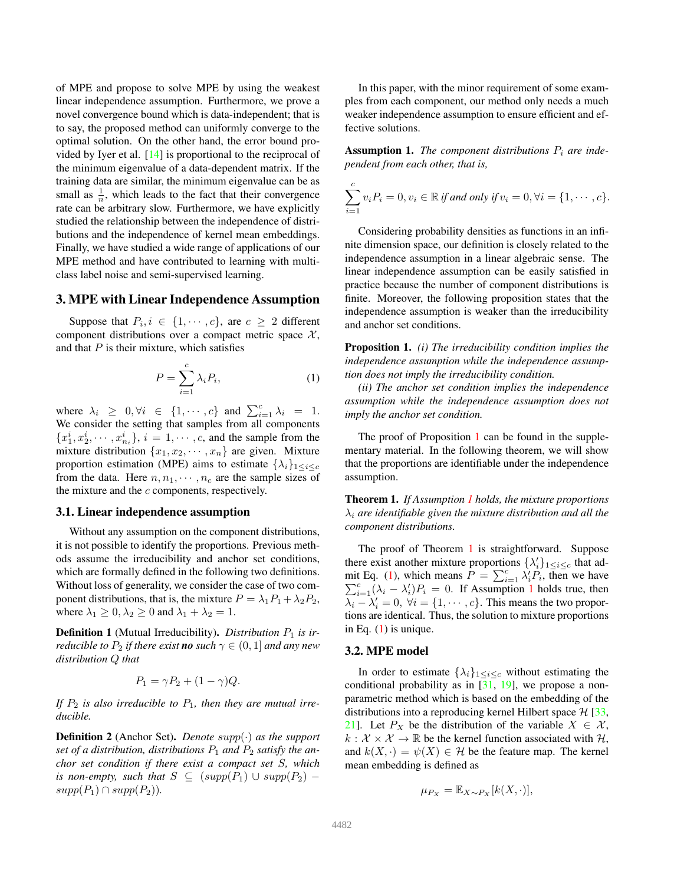<span id="page-2-4"></span>of MPE and propose to solve MPE by using the weakest linear independence assumption. Furthermore, we prove a novel convergence bound which is data-independent; that is to say, the proposed method can uniformly converge to the optimal solution. On the other hand, the error bound provided by Iyer et al. [\[14\]](#page-8-12) is proportional to the reciprocal of the minimum eigenvalue of a data-dependent matrix. If the training data are similar, the minimum eigenvalue can be as small as  $\frac{1}{n}$ , which leads to the fact that their convergence rate can be arbitrary slow. Furthermore, we have explicitly studied the relationship between the independence of distributions and the independence of kernel mean embeddings. Finally, we have studied a wide range of applications of our MPE method and have contributed to learning with multiclass label noise and semi-supervised learning.

## 3. MPE with Linear Independence Assumption

Suppose that  $P_i, i \in \{1, \dots, c\}$ , are  $c \geq 2$  different component distributions over a compact metric space  $X$ , and that  $P$  is their mixture, which satisfies

<span id="page-2-3"></span>
$$
P = \sum_{i=1}^{c} \lambda_i P_i,\tag{1}
$$

where  $\lambda_i \geq 0, \forall i \in \{1, \cdots, c\}$  and  $\sum_{i=1}^c \lambda_i = 1$ . We consider the setting that samples from all components  ${x_1^i, x_2^i, \cdots, x_{n_i}^i}$ ,  $i = 1, \cdots, c$ , and the sample from the mixture distribution  $\{x_1, x_2, \dots, x_n\}$  are given. Mixture proportion estimation (MPE) aims to estimate  $\{\lambda_i\}_{1\leq i\leq c}$ from the data. Here  $n, n_1, \dots, n_c$  are the sample sizes of the mixture and the  $c$  components, respectively.

#### 3.1. Linear independence assumption

Without any assumption on the component distributions, it is not possible to identify the proportions. Previous methods assume the irreducibility and anchor set conditions, which are formally defined in the following two definitions. Without loss of generality, we consider the case of two component distributions, that is, the mixture  $P = \lambda_1 P_1 + \lambda_2 P_2$ , where  $\lambda_1 \geq 0, \lambda_2 \geq 0$  and  $\lambda_1 + \lambda_2 = 1$ .

**Definition 1** (Mutual Irreducibility). *Distribution P*<sub>1</sub> *is irreducible to*  $P_2$  *if there exist no such*  $\gamma \in (0, 1]$  *and any new distribution* Q *that*

$$
P_1 = \gamma P_2 + (1 - \gamma)Q.
$$

If  $P_2$  *is also irreducible to*  $P_1$ *, then they are mutual irreducible.*

Definition 2 (Anchor Set). *Denote* supp(·) *as the support* set of a distribution, distributions  $P_1$  and  $P_2$  satisfy the an*chor set condition if there exist a compact set* S*, which is non-empty, such that*  $S \subseteq (supp(P_1) \cup supp(P_2)$  $supp(P_1) \cap supp(P_2)$ *)*.

In this paper, with the minor requirement of some examples from each component, our method only needs a much weaker independence assumption to ensure efficient and effective solutions.

<span id="page-2-1"></span>Assumption 1. The component distributions  $P_i$  are inde*pendent from each other, that is,*

$$
\sum_{i=1}^{c} v_i P_i = 0, v_i \in \mathbb{R} \text{ if and only if } v_i = 0, \forall i = \{1, \cdots, c\}.
$$

Considering probability densities as functions in an infinite dimension space, our definition is closely related to the independence assumption in a linear algebraic sense. The linear independence assumption can be easily satisfied in practice because the number of component distributions is finite. Moreover, the following proposition states that the independence assumption is weaker than the irreducibility and anchor set conditions.

<span id="page-2-0"></span>Proposition 1. *(i) The irreducibility condition implies the independence assumption while the independence assumption does not imply the irreducibility condition.*

*(ii) The anchor set condition implies the independence assumption while the independence assumption does not imply the anchor set condition.*

The proof of Proposition [1](#page-2-0) can be found in the supplementary material. In the following theorem, we will show that the proportions are identifiable under the independence assumption.

<span id="page-2-2"></span>Theorem 1. *If Assumption [1](#page-2-1) holds, the mixture proportions*  $\lambda_i$  *are identifiable given the mixture distribution and all the component distributions.*

The proof of Theorem [1](#page-2-2) is straightforward. Suppose there exist another mixture proportions  $\{\lambda'_i\}_{1 \leq i \leq c}$  that ad-mit Eq. [\(1\)](#page-2-3), which means  $P = \sum_{i=1}^{c} \lambda_i' P_i$ , then we have  $\sum_{i=1}^{c} (\lambda_i - \lambda'_i) P_i = 0$  $\sum_{i=1}^{c} (\lambda_i - \lambda'_i) P_i = 0$  $\sum_{i=1}^{c} (\lambda_i - \lambda'_i) P_i = 0$ . If Assumption 1 holds true, then  $\lambda_i - \lambda'_i = 0, \ \forall i = \{1, \dots, c\}.$  This means the two proportions are identical. Thus, the solution to mixture proportions in Eq.  $(1)$  is unique.

#### 3.2. MPE model

In order to estimate  $\{\lambda_i\}_{1 \leq i \leq c}$  without estimating the conditional probability as in  $[31, 19]$  $[31, 19]$ , we propose a nonparametric method which is based on the embedding of the distributions into a reproducing kernel Hilbert space  $H$  [\[33,](#page-9-5) [21\]](#page-8-14). Let  $P_X$  be the distribution of the variable  $X \in \mathcal{X}$ ,  $k : \mathcal{X} \times \mathcal{X} \rightarrow \mathbb{R}$  be the kernel function associated with H, and  $k(X, \cdot) = \psi(X) \in \mathcal{H}$  be the feature map. The kernel mean embedding is defined as

$$
\mu_{P_X} = \mathbb{E}_{X \sim P_X}[k(X, \cdot)],
$$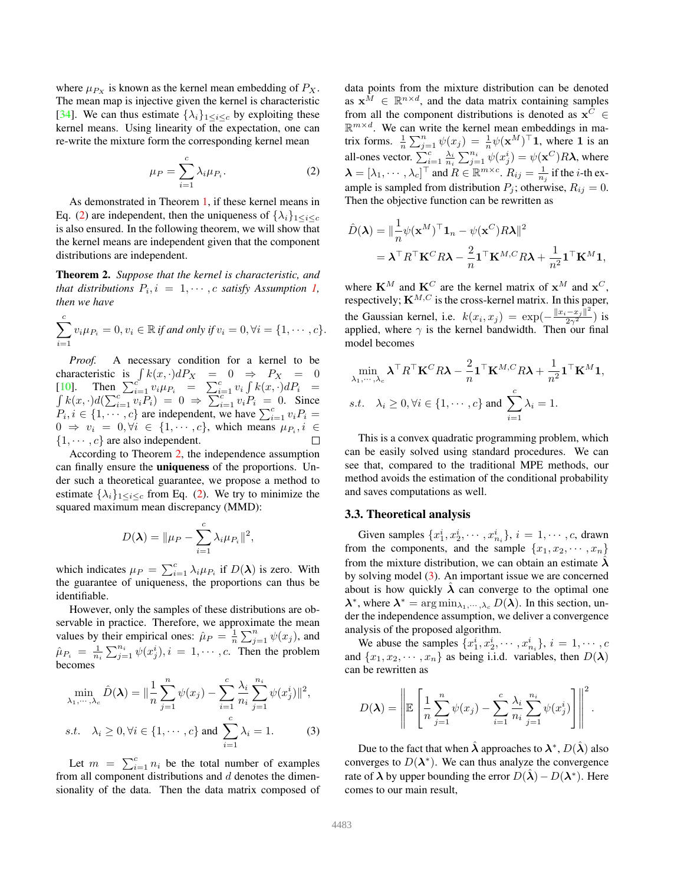<span id="page-3-3"></span>where  $\mu_{Px}$  is known as the kernel mean embedding of  $P_X$ . The mean map is injective given the kernel is characteristic [\[34\]](#page-9-6). We can thus estimate  $\{\lambda_i\}_{1\leq i\leq c}$  by exploiting these kernel means. Using linearity of the expectation, one can re-write the mixture form the corresponding kernel mean

<span id="page-3-0"></span>
$$
\mu_P = \sum_{i=1}^c \lambda_i \mu_{P_i}.\tag{2}
$$

As demonstrated in Theorem [1,](#page-2-2) if these kernel means in Eq. [\(2\)](#page-3-0) are independent, then the uniqueness of  $\{\lambda_i\}_{1 \leq i \leq c}$ is also ensured. In the following theorem, we will show that the kernel means are independent given that the component distributions are independent.

<span id="page-3-1"></span>Theorem 2. *Suppose that the kernel is characteristic, and that distributions*  $P_i$ ,  $i = 1, \dots, c$  $i = 1, \dots, c$  $i = 1, \dots, c$  *satisfy Assumption 1, then we have*

$$
\sum_{i=1}^{c} v_i \mu_{P_i} = 0, v_i \in \mathbb{R} \text{ if and only if } v_i = 0, \forall i = \{1, \cdots, c\}.
$$

Proof. A necessary condition for a kernel to be characteristic is  $\int k(x, \cdot) dP_x = 0 \Rightarrow P_x = 0$ [\[10\]](#page-8-15). Then  $\sum_{i=1}^{c} v_i \mu_{P_i} = \sum_{i=1}^{c} v_i \int k(x, \cdot) dP_i = \int k(x, \cdot) d(\sum_{i=1}^{c} v_i P_i) = 0 \Rightarrow \sum_{i=1}^{c} v_i P_i = 0$ . Since  $P_i, i \in \{1, \dots, c\}$  are independent, we have  $\sum_{i=1}^{c} v_i P_i =$  $0 \Rightarrow v_i = 0, \forall i \in \{1, \dots, c\}$ , which means  $\mu_{P_i}, i \in$  $\{1, \dots, c\}$  are also independent.

According to Theorem [2,](#page-3-1) the independence assumption can finally ensure the uniqueness of the proportions. Under such a theoretical guarantee, we propose a method to estimate  $\{\lambda_i\}_{1 \leq i \leq c}$  from Eq. [\(2\)](#page-3-0). We try to minimize the squared maximum mean discrepancy (MMD):

$$
D(\boldsymbol{\lambda}) = \|\mu_P - \sum_{i=1}^c \lambda_i \mu_{P_i}\|^2,
$$

which indicates  $\mu_P = \sum_{i=1}^c \lambda_i \mu_{P_i}$  if  $D(\lambda)$  is zero. With the guarantee of uniqueness, the proportions can thus be identifiable.

However, only the samples of these distributions are observable in practice. Therefore, we approximate the mean values by their empirical ones:  $\hat{\mu}_P = \frac{1}{n} \sum_{j=1}^n \psi(x_j)$ , and n  $\hat{\mu}_{P_i} = \frac{1}{n_e}$  $\frac{1}{n_i} \sum_{j=1}^{n_i} \psi(x_j^i), i = 1, \cdots, c$ . Then the problem becomes

$$
\min_{\lambda_1,\dots,\lambda_c} \hat{D}(\boldsymbol{\lambda}) = \|\frac{1}{n}\sum_{j=1}^n \psi(x_j) - \sum_{i=1}^c \frac{\lambda_i}{n_i} \sum_{j=1}^{n_i} \psi(x_j^i)\|^2,
$$
  
s.t.  $\lambda_i \ge 0, \forall i \in \{1,\dots,c\}$  and  $\sum_{i=1}^c \lambda_i = 1.$  (3)

Let  $m = \sum_{i=1}^{c} n_i$  be the total number of examples from all component distributions and  $d$  denotes the dimensionality of the data. Then the data matrix composed of data points from the mixture distribution can be denoted as  $\mathbf{x}^{\tilde{M}} \in \mathbb{R}^{n \times d}$ , and the data matrix containing samples from all the component distributions is denoted as  $x^{\overline{C}} \in$  $\mathbb{R}^{m \times d}$ . We can write the kernel mean embeddings in matrix forms.  $\frac{1}{n} \sum_{j=1}^{n} \psi(x_j) = \frac{1}{n} \psi(\mathbf{x}^{M})^{\top} \mathbf{1}$ , where 1 is an all-ones vector.  $\sum_{i=1}^{c} \frac{\lambda_i}{n_i} \sum_{j=1}^{n_i} \psi(x_j^i) = \psi(\mathbf{x}^C) R \lambda$ , where  $\boldsymbol{\lambda} = [\lambda_1, \cdots, \lambda_c]^\top$  and  $R \in \mathbb{R}^{m \times c}$ .  $R_{ij} = \frac{1}{n}$  $\frac{1}{n_j}$  if the *i*-th example is sampled from distribution  $P_j$ ; otherwise,  $R_{ij} = 0$ . Then the objective function can be rewritten as

$$
\hat{D}(\lambda) = \|\frac{1}{n}\psi(\mathbf{x}^{M})^{\top}\mathbf{1}_{n} - \psi(\mathbf{x}^{C})R\lambda\|^{2}
$$

$$
= \lambda^{\top}R^{\top}\mathbf{K}^{C}R\lambda - \frac{2}{n}\mathbf{1}^{\top}\mathbf{K}^{M,C}R\lambda + \frac{1}{n^{2}}\mathbf{1}^{\top}\mathbf{K}^{M}\mathbf{1},
$$

where  $\mathbf{K}^{M}$  and  $\mathbf{K}^{C}$  are the kernel matrix of  $\mathbf{x}^{M}$  and  $\mathbf{x}^{C}$ , respectively;  $\mathbf{K}^{M,C}$  is the cross-kernel matrix. In this paper, the Gaussian kernel, i.e.  $k(x_i, x_j) = \exp(-\frac{||x_i - x_j||^2}{2\gamma^2})$  is applied, where  $\gamma$  is the kernel bandwidth. Then our final model becomes

$$
\min_{\lambda_1, \dots, \lambda_c} \boldsymbol{\lambda}^\top R^\top \mathbf{K}^C R \boldsymbol{\lambda} - \frac{2}{n} \mathbf{1}^\top \mathbf{K}^{M, C} R \boldsymbol{\lambda} + \frac{1}{n^2} \mathbf{1}^\top \mathbf{K}^M \mathbf{1},
$$
  
s.t.  $\lambda_i \ge 0, \forall i \in \{1, \dots, c\}$  and  $\sum_{i=1}^c \lambda_i = 1$ .

This is a convex quadratic programming problem, which can be easily solved using standard procedures. We can see that, compared to the traditional MPE methods, our method avoids the estimation of the conditional probability and saves computations as well.

#### 3.3. Theoretical analysis

Given samples  $\{x_1^i, x_2^i, \cdots, x_{n_i}^i\}, i = 1, \cdots, c$ , drawn from the components, and the sample  $\{x_1, x_2, \dots, x_n\}$ from the mixture distribution, we can obtain an estimate  $\lambda$ by solving model [\(3\)](#page-3-2). An important issue we are concerned about is how quickly  $\lambda$  can converge to the optimal one  $\lambda^*$ , where  $\lambda^* = \arg \min_{\lambda_1, \dots, \lambda_c} D(\lambda)$ . In this section, under the independence assumption, we deliver a convergence analysis of the proposed algorithm.

We abuse the samples  $\{x_1^i, x_2^i, \cdots, x_{n_i}^i\}, i = 1, \cdots, c$ and  $\{x_1, x_2, \dots, x_n\}$  as being i.i.d. variables, then  $D(\lambda)$ can be rewritten as

$$
D(\boldsymbol{\lambda}) = \left\| \mathbb{E} \left[ \frac{1}{n} \sum_{j=1}^n \psi(x_j) - \sum_{i=1}^c \frac{\lambda_i}{n_i} \sum_{j=1}^{n_i} \psi(x_j^i) \right] \right\|^2.
$$

<span id="page-3-2"></span>Due to the fact that when  $\hat{\boldsymbol{\lambda}}$  approaches to  $\boldsymbol{\lambda}^*,$   $D(\hat{\boldsymbol{\lambda}})$  also converges to  $D(\lambda^*)$ . We can thus analyze the convergence rate of  $\lambda$  by upper bounding the error  $D(\hat{\lambda}) - D(\lambda^*)$ . Here comes to our main result,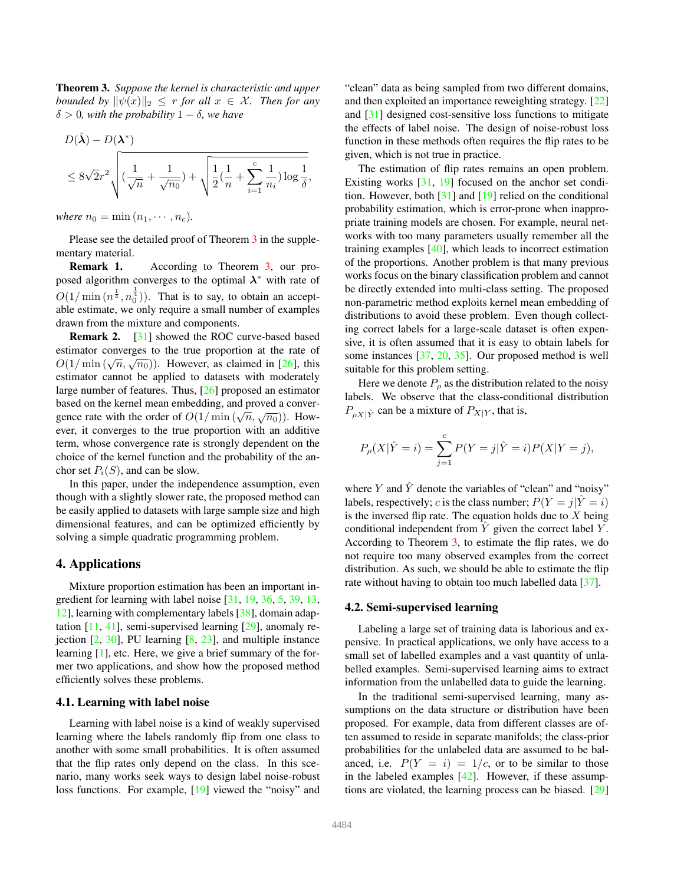<span id="page-4-1"></span><span id="page-4-0"></span>Theorem 3. *Suppose the kernel is characteristic and upper bounded by*  $\|\psi(x)\|_2 \leq r$  *for all*  $x \in \mathcal{X}$ *. Then for any*  $\delta > 0$ , with the probability  $1 - \delta$ , we have

$$
D(\hat{\lambda}) - D(\lambda^*)
$$
  
\n
$$
\leq 8\sqrt{2}r^2 \sqrt{\left(\frac{1}{\sqrt{n}} + \frac{1}{\sqrt{n_0}}\right) + \sqrt{\frac{1}{2}\left(\frac{1}{n} + \sum_{i=1}^c \frac{1}{n_i}\right) \log \frac{1}{\delta}}},
$$

*where*  $n_0 = \min (n_1, \dots, n_c)$ .

Please see the detailed proof of Theorem [3](#page-4-0) in the supplementary material.

Remark 1. According to Theorem [3,](#page-4-0) our proposed algorithm converges to the optimal  $\lambda^*$  with rate of  $O(1/\min(n^{\frac{1}{4}}, n_0^{\frac{1}{4}}))$ . That is to say, to obtain an acceptable estimate, we only require a small number of examples drawn from the mixture and components.

**Remark 2.** [\[31\]](#page-9-0) showed the ROC curve-based based estimator converges to the true proportion at the rate of  $O(1/\min{(\sqrt{n}, \sqrt{n_0})})$ . However, as claimed in [\[26\]](#page-8-7), this estimator cannot be applied to datasets with moderately large number of features. Thus, [\[26\]](#page-8-7) proposed an estimator based on the kernel mean embedding, and proved a convergence rate with the order of  $O(1/\min{(\sqrt{n}, \sqrt{n_0})})$ . However, it converges to the true proportion with an additive term, whose convergence rate is strongly dependent on the choice of the kernel function and the probability of the anchor set  $P_i(S)$ , and can be slow.

In this paper, under the independence assumption, even though with a slightly slower rate, the proposed method can be easily applied to datasets with large sample size and high dimensional features, and can be optimized efficiently by solving a simple quadratic programming problem.

## 4. Applications

Mixture proportion estimation has been an important ingredient for learning with label noise [\[31,](#page-9-0) [19,](#page-8-9) [36,](#page-9-7) [5,](#page-8-16) [39,](#page-9-8) [13,](#page-8-17) [12\]](#page-8-18), learning with complementary labels [\[38\]](#page-9-9), domain adaptation [\[11,](#page-8-19) [41\]](#page-9-10), semi-supervised learning [\[29\]](#page-9-1), anomaly rejection  $[2, 30]$  $[2, 30]$ , PU learning  $[8, 23]$  $[8, 23]$ , and multiple instance learning [\[1\]](#page-8-20), etc. Here, we give a brief summary of the former two applications, and show how the proposed method efficiently solves these problems.

#### 4.1. Learning with label noise

Learning with label noise is a kind of weakly supervised learning where the labels randomly flip from one class to another with some small probabilities. It is often assumed that the flip rates only depend on the class. In this scenario, many works seek ways to design label noise-robust loss functions. For example, [\[19\]](#page-8-9) viewed the "noisy" and "clean" data as being sampled from two different domains, and then exploited an importance reweighting strategy. [\[22\]](#page-8-1) and [\[31\]](#page-9-0) designed cost-sensitive loss functions to mitigate the effects of label noise. The design of noise-robust loss function in these methods often requires the flip rates to be given, which is not true in practice.

The estimation of flip rates remains an open problem. Existing works [\[31,](#page-9-0) [19\]](#page-8-9) focused on the anchor set condition. However, both [\[31\]](#page-9-0) and [\[19\]](#page-8-9) relied on the conditional probability estimation, which is error-prone when inappropriate training models are chosen. For example, neural networks with too many parameters usually remember all the training examples [\[40\]](#page-9-11), which leads to incorrect estimation of the proportions. Another problem is that many previous works focus on the binary classification problem and cannot be directly extended into multi-class setting. The proposed non-parametric method exploits kernel mean embedding of distributions to avoid these problem. Even though collecting correct labels for a large-scale dataset is often expensive, it is often assumed that it is easy to obtain labels for some instances [\[37,](#page-9-4) [20,](#page-8-21) [35\]](#page-9-12). Our proposed method is well suitable for this problem setting.

Here we denote  $P_{\rho}$  as the distribution related to the noisy labels. We observe that the class-conditional distribution  $P_{\rho X|\hat{Y}}$  can be a mixture of  $P_{X|Y}$ , that is,

$$
P_{\rho}(X|\hat{Y}=i) = \sum_{j=1}^{c} P(Y=j|\hat{Y}=i)P(X|Y=j),
$$

where Y and  $\hat{Y}$  denote the variables of "clean" and "noisy" labels, respectively; c is the class number;  $P(Y = j | \hat{Y} = i)$ is the inversed flip rate. The equation holds due to  $X$  being conditional independent from  $\hat{Y}$  given the correct label Y. According to Theorem [3,](#page-4-0) to estimate the flip rates, we do not require too many observed examples from the correct distribution. As such, we should be able to estimate the flip rate without having to obtain too much labelled data [\[37\]](#page-9-4).

#### 4.2. Semi-supervised learning

Labeling a large set of training data is laborious and expensive. In practical applications, we only have access to a small set of labelled examples and a vast quantity of unlabelled examples. Semi-supervised learning aims to extract information from the unlabelled data to guide the learning.

In the traditional semi-supervised learning, many assumptions on the data structure or distribution have been proposed. For example, data from different classes are often assumed to reside in separate manifolds; the class-prior probabilities for the unlabeled data are assumed to be balanced, i.e.  $P(Y = i) = 1/c$ , or to be similar to those in the labeled examples  $[42]$ . However, if these assumptions are violated, the learning process can be biased. [\[29\]](#page-9-1)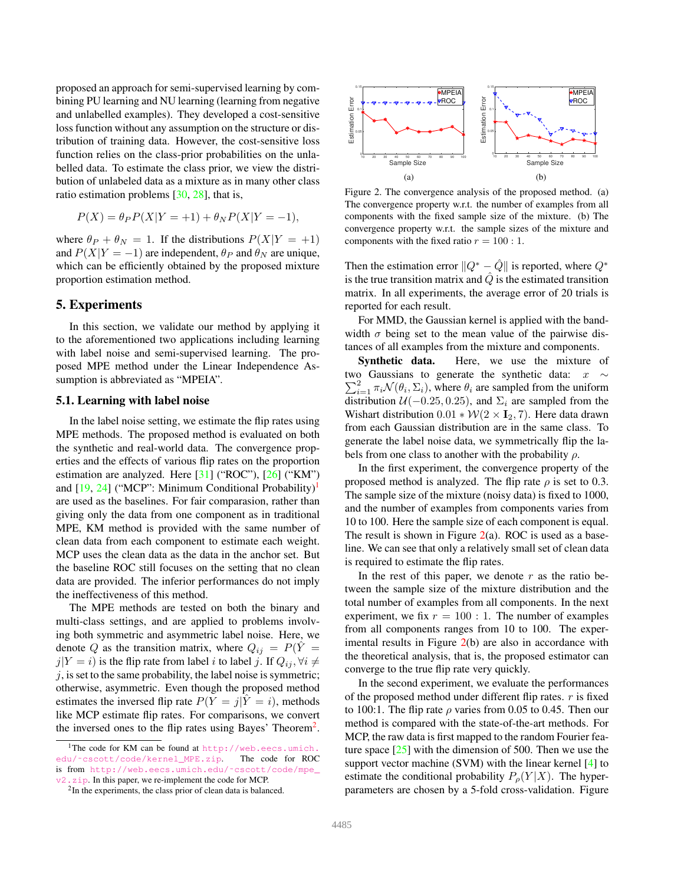<span id="page-5-3"></span>proposed an approach for semi-supervised learning by combining PU learning and NU learning (learning from negative and unlabelled examples). They developed a cost-sensitive loss function without any assumption on the structure or distribution of training data. However, the cost-sensitive loss function relies on the class-prior probabilities on the unlabelled data. To estimate the class prior, we view the distribution of unlabeled data as a mixture as in many other class ratio estimation problems [\[30,](#page-9-3) [28\]](#page-9-14), that is,

$$
P(X) = \theta_P P(X|Y = +1) + \theta_N P(X|Y = -1),
$$

where  $\theta_P + \theta_N = 1$ . If the distributions  $P(X|Y = +1)$ and  $P(X|Y = -1)$  are independent,  $\theta_P$  and  $\theta_N$  are unique, which can be efficiently obtained by the proposed mixture proportion estimation method.

## 5. Experiments

In this section, we validate our method by applying it to the aforementioned two applications including learning with label noise and semi-supervised learning. The proposed MPE method under the Linear Independence Assumption is abbreviated as "MPEIA".

#### 5.1. Learning with label noise

In the label noise setting, we estimate the flip rates using MPE methods. The proposed method is evaluated on both the synthetic and real-world data. The convergence properties and the effects of various flip rates on the proportion estimation are analyzed. Here [\[31\]](#page-9-0) ("ROC"), [\[26\]](#page-8-7) ("KM") and  $[19, 24]$  $[19, 24]$  ("MCP": Minimum Conditional Probability)<sup>[1](#page-5-0)</sup> are used as the baselines. For fair comparasion, rather than giving only the data from one component as in traditional MPE, KM method is provided with the same number of clean data from each component to estimate each weight. MCP uses the clean data as the data in the anchor set. But the baseline ROC still focuses on the setting that no clean data are provided. The inferior performances do not imply the ineffectiveness of this method.

The MPE methods are tested on both the binary and multi-class settings, and are applied to problems involving both symmetric and asymmetric label noise. Here, we denote Q as the transition matrix, where  $Q_{ij} = P(Y =$  $j|Y = i$ ) is the flip rate from label i to label j. If  $Q_{ij}$ ,  $\forall i \neq j$  $j$ , is set to the same probability, the label noise is symmetric; otherwise, asymmetric. Even though the proposed method estimates the inversed flip rate  $P(Y = j | \hat{Y} = i)$ , methods like MCP estimate flip rates. For comparisons, we convert the inversed ones to the flip rates using Bayes' Theorem<sup>[2](#page-5-1)</sup>.



<span id="page-5-2"></span>Figure 2. The convergence analysis of the proposed method. (a) The convergence property w.r.t. the number of examples from all components with the fixed sample size of the mixture. (b) The convergence property w.r.t. the sample sizes of the mixture and components with the fixed ratio  $r = 100 : 1$ .

Then the estimation error  $||Q^* - \hat{Q}||$  is reported, where  $Q^*$ is the true transition matrix and  $\hat{Q}$  is the estimated transition matrix. In all experiments, the average error of 20 trials is reported for each result.

For MMD, the Gaussian kernel is applied with the bandwidth  $\sigma$  being set to the mean value of the pairwise distances of all examples from the mixture and components.

Synthetic data. Here, we use the mixture of  $\sum_{i=1}^{2} \pi_i \mathcal{N}(\theta_i, \Sigma_i)$ , where  $\theta_i$  are sampled from the uniform two Gaussians to generate the synthetic data:  $x \sim$ distribution  $U(-0.25, 0.25)$ , and  $\Sigma_i$  are sampled from the Wishart distribution  $0.01 * \mathcal{W}(2 \times I_2, 7)$ . Here data drawn from each Gaussian distribution are in the same class. To generate the label noise data, we symmetrically flip the labels from one class to another with the probability  $\rho$ .

In the first experiment, the convergence property of the proposed method is analyzed. The flip rate  $\rho$  is set to 0.3. The sample size of the mixture (noisy data) is fixed to 1000, and the number of examples from components varies from 10 to 100. Here the sample size of each component is equal. The result is shown in Figure  $2(a)$  $2(a)$ . ROC is used as a baseline. We can see that only a relatively small set of clean data is required to estimate the flip rates.

In the rest of this paper, we denote  $r$  as the ratio between the sample size of the mixture distribution and the total number of examples from all components. In the next experiment, we fix  $r = 100 : 1$ . The number of examples from all components ranges from 10 to 100. The experimental results in Figure  $2(b)$  $2(b)$  are also in accordance with the theoretical analysis, that is, the proposed estimator can converge to the true flip rate very quickly.

In the second experiment, we evaluate the performances of the proposed method under different flip rates.  $r$  is fixed to 100:1. The flip rate  $\rho$  varies from 0.05 to 0.45. Then our method is compared with the state-of-the-art methods. For MCP, the raw data is first mapped to the random Fourier feature space  $[25]$  with the dimension of 500. Then we use the support vector machine (SVM) with the linear kernel [\[4\]](#page-8-23) to estimate the conditional probability  $P_{\rho}(Y|X)$ . The hyperparameters are chosen by a 5-fold cross-validation. Figure

<span id="page-5-0"></span><sup>1</sup>The code for KM can be found at [http://web.eecs.umich.](http://web.eecs.umich.edu/~cscott/code/kernel_MPE.zip) [edu/˜cscott/code/kernel\\_MPE.zip](http://web.eecs.umich.edu/~cscott/code/kernel_MPE.zip). The code for ROC is from [http://web.eecs.umich.edu/˜cscott/code/mpe\\_](http://web.eecs.umich.edu/~cscott/code/mpe_v2.zip) [v2.zip](http://web.eecs.umich.edu/~cscott/code/mpe_v2.zip). In this paper, we re-implement the code for MCP.

<span id="page-5-1"></span><sup>&</sup>lt;sup>2</sup>In the experiments, the class prior of clean data is balanced.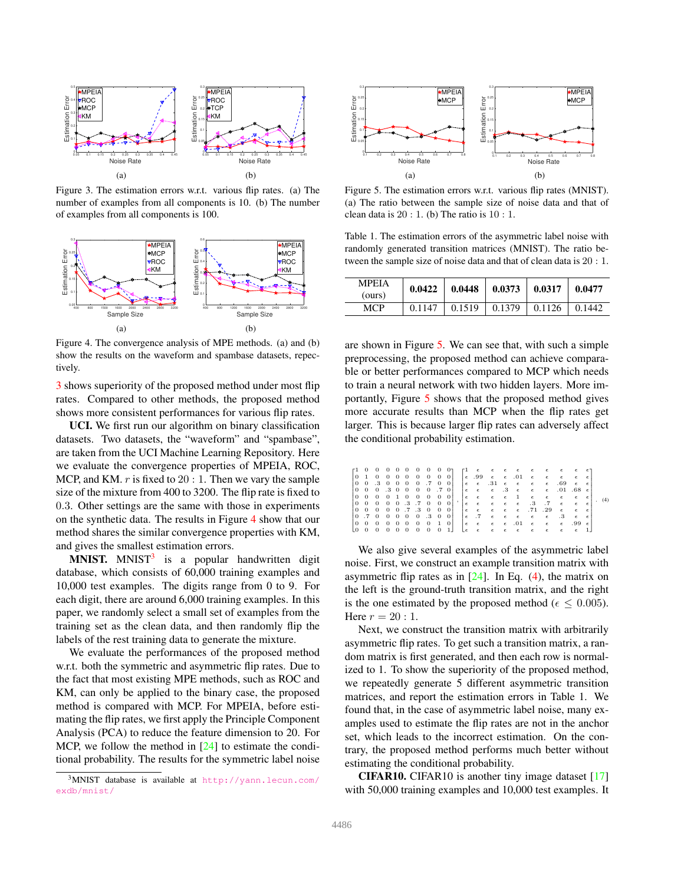<span id="page-6-5"></span>

<span id="page-6-0"></span>Figure 3. The estimation errors w.r.t. various flip rates. (a) The number of examples from all components is 10. (b) The number of examples from all components is 100.



<span id="page-6-1"></span>Figure 4. The convergence analysis of MPE methods. (a) and (b) show the results on the waveform and spambase datasets, repectively.

[3](#page-6-0) shows superiority of the proposed method under most flip rates. Compared to other methods, the proposed method shows more consistent performances for various flip rates.

UCI. We first run our algorithm on binary classification datasets. Two datasets, the "waveform" and "spambase", are taken from the UCI Machine Learning Repository. Here we evaluate the convergence properties of MPEIA, ROC, MCP, and KM.  $r$  is fixed to  $20:1$ . Then we vary the sample size of the mixture from 400 to 3200. The flip rate is fixed to 0.3. Other settings are the same with those in experiments on the synthetic data. The results in Figure [4](#page-6-1) show that our method shares the similar convergence properties with KM, and gives the smallest estimation errors.

MNIST. MNIST<sup>[3](#page-6-2)</sup> is a popular handwritten digit database, which consists of 60,000 training examples and 10,000 test examples. The digits range from 0 to 9. For each digit, there are around 6,000 training examples. In this paper, we randomly select a small set of examples from the training set as the clean data, and then randomly flip the labels of the rest training data to generate the mixture.

We evaluate the performances of the proposed method w.r.t. both the symmetric and asymmetric flip rates. Due to the fact that most existing MPE methods, such as ROC and KM, can only be applied to the binary case, the proposed method is compared with MCP. For MPEIA, before estimating the flip rates, we first apply the Principle Component Analysis (PCA) to reduce the feature dimension to 20. For MCP, we follow the method in  $[24]$  to estimate the conditional probability. The results for the symmetric label noise



<span id="page-6-3"></span>Figure 5. The estimation errors w.r.t. various flip rates (MNIST). (a) The ratio between the sample size of noise data and that of clean data is 20 : 1. (b) The ratio is 10 : 1.

Table 1. The estimation errors of the asymmetric label noise with randomly generated transition matrices (MNIST). The ratio between the sample size of noise data and that of clean data is 20 : 1.

| <b>MPEIA</b><br>(ours) |        | $0.0422$   $0.0448$   $0.0373$   $0.0317$   $0.0477$ |        |
|------------------------|--------|------------------------------------------------------|--------|
| MCP                    | 0.1147 | $\vert$ 0.1519 $\vert$ 0.1379 $\vert$ 0.1126         | 0.1442 |

are shown in Figure [5.](#page-6-3) We can see that, with such a simple preprocessing, the proposed method can achieve comparable or better performances compared to MCP which needs to train a neural network with two hidden layers. More importantly, Figure [5](#page-6-3) shows that the proposed method gives more accurate results than MCP when the flip rates get larger. This is because larger flip rates can adversely affect the conditional probability estimation.

<span id="page-6-4"></span>

|          |  |                |                |                |           |  | $\lceil 1 \rceil$ 0 0 0 0 0 0 0 0 0 0 0 $\lceil 1 \rceil$ e e e e e e                           |            |            |            |            | $\epsilon$           |            | $\epsilon$ |     |
|----------|--|----------------|----------------|----------------|-----------|--|-------------------------------------------------------------------------------------------------|------------|------------|------------|------------|----------------------|------------|------------|-----|
|          |  |                |                |                |           |  |                                                                                                 |            |            |            |            |                      |            |            |     |
|          |  |                |                |                |           |  |                                                                                                 |            |            |            |            | $.69 \quad \epsilon$ |            |            |     |
|          |  |                |                |                |           |  |                                                                                                 |            |            |            |            |                      |            |            |     |
|          |  |                |                |                |           |  |                                                                                                 |            |            |            |            | $\epsilon$           | $\epsilon$ | $\epsilon$ |     |
|          |  |                |                |                |           |  |                                                                                                 |            |            |            |            |                      |            | $\epsilon$ | (4) |
|          |  |                |                |                |           |  |                                                                                                 |            |            |            |            |                      | $\epsilon$ |            |     |
|          |  |                |                |                |           |  | $[0.7 \t0 \t0 \t0 \t0 \t0 \t0 \t.3 \t0 \t0]$ $[\epsilon \t.7 \t\epsilon \t\epsilon \t\epsilon]$ |            |            | $\epsilon$ | $\epsilon$ | $\cdot$ 3            | $\epsilon$ |            |     |
|          |  |                |                |                |           |  |                                                                                                 |            |            |            |            |                      | ا∋ 99.     |            |     |
| $\Omega$ |  | $\overline{0}$ | $\overline{0}$ | $\overline{0}$ | - 0 - 1 1 |  | Le $\epsilon$ e                                                                                 | $\epsilon$ | $\epsilon$ | $\epsilon$ | $\epsilon$ | $\epsilon$           |            |            |     |

We also give several examples of the asymmetric label noise. First, we construct an example transition matrix with asymmetric flip rates as in  $[24]$ . In Eq.  $(4)$ , the matrix on the left is the ground-truth transition matrix, and the right is the one estimated by the proposed method ( $\epsilon \leq 0.005$ ). Here  $r = 20 : 1$ .

Next, we construct the transition matrix with arbitrarily asymmetric flip rates. To get such a transition matrix, a random matrix is first generated, and then each row is normalized to 1. To show the superiority of the proposed method, we repeatedly generate 5 different asymmetric transition matrices, and report the estimation errors in Table 1. We found that, in the case of asymmetric label noise, many examples used to estimate the flip rates are not in the anchor set, which leads to the incorrect estimation. On the contrary, the proposed method performs much better without estimating the conditional probability.

CIFAR10. CIFAR10 is another tiny image dataset [\[17\]](#page-8-24) with 50,000 training examples and 10,000 test examples. It

<span id="page-6-2"></span><sup>3</sup>MNIST database is available at [http://yann.lecun.com/](http://yann.lecun.com/exdb/mnist/) [exdb/mnist/](http://yann.lecun.com/exdb/mnist/)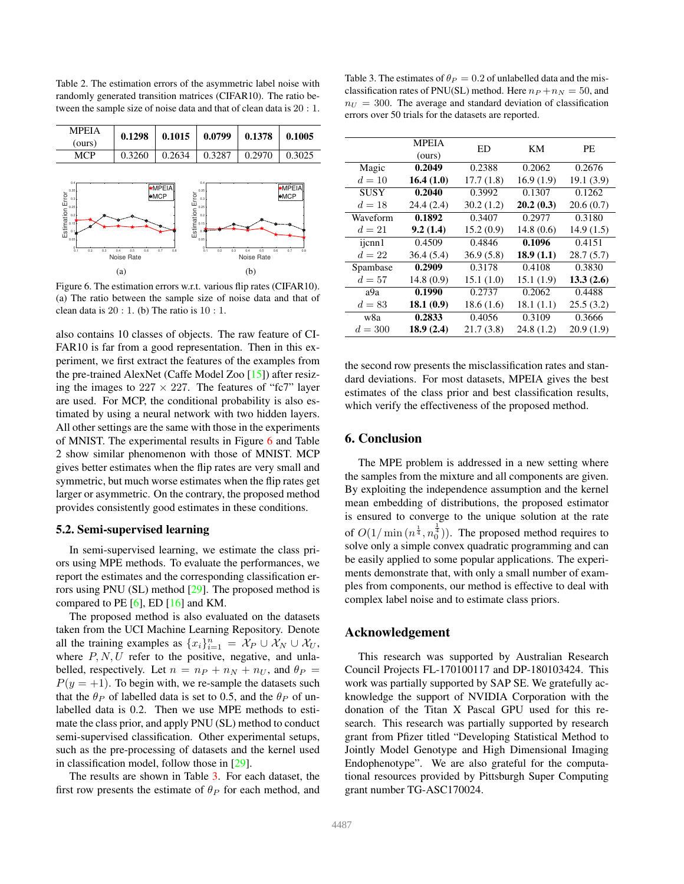<span id="page-7-2"></span>Table 2. The estimation errors of the asymmetric label noise with randomly generated transition matrices (CIFAR10). The ratio between the sample size of noise data and that of clean data is 20 : 1.



<span id="page-7-0"></span>Figure 6. The estimation errors w.r.t. various flip rates (CIFAR10). (a) The ratio between the sample size of noise data and that of clean data is 20 : 1. (b) The ratio is 10 : 1.

also contains 10 classes of objects. The raw feature of CI-FAR10 is far from a good representation. Then in this experiment, we first extract the features of the examples from the pre-trained AlexNet (Caffe Model Zoo [\[15\]](#page-8-25)) after resizing the images to  $227 \times 227$ . The features of "fc7" layer are used. For MCP, the conditional probability is also estimated by using a neural network with two hidden layers. All other settings are the same with those in the experiments of MNIST. The experimental results in Figure [6](#page-7-0) and Table 2 show similar phenomenon with those of MNIST. MCP gives better estimates when the flip rates are very small and symmetric, but much worse estimates when the flip rates get larger or asymmetric. On the contrary, the proposed method provides consistently good estimates in these conditions.

#### 5.2. Semi-supervised learning

In semi-supervised learning, we estimate the class priors using MPE methods. To evaluate the performances, we report the estimates and the corresponding classification errors using PNU (SL) method [\[29\]](#page-9-1). The proposed method is compared to PE  $[6]$ , ED  $[16]$  and KM.

The proposed method is also evaluated on the datasets taken from the UCI Machine Learning Repository. Denote all the training examples as  $\{x_i\}_{i=1}^n = \mathcal{X}_P \cup \mathcal{X}_N \cup \mathcal{X}_U$ , where  $P, N, U$  refer to the positive, negative, and unlabelled, respectively. Let  $n = n_P + n_N + n_U$ , and  $\theta_P =$  $P(y = +1)$ . To begin with, we re-sample the datasets such that the  $\theta_P$  of labelled data is set to 0.5, and the  $\theta_P$  of unlabelled data is 0.2. Then we use MPE methods to estimate the class prior, and apply PNU (SL) method to conduct semi-supervised classification. Other experimental setups, such as the pre-processing of datasets and the kernel used in classification model, follow those in [\[29\]](#page-9-1).

The results are shown in Table [3.](#page-7-1) For each dataset, the first row presents the estimate of  $\theta_P$  for each method, and

<span id="page-7-1"></span>Table 3. The estimates of  $\theta_P = 0.2$  of unlabelled data and the misclassification rates of PNU(SL) method. Here  $n_P + n_N = 50$ , and  $n_U = 300$ . The average and standard deviation of classification errors over 50 trials for the datasets are reported.

|             | <b>MPEIA</b><br>(ours) | ED        | KМ         | <b>PE</b>  |
|-------------|------------------------|-----------|------------|------------|
| Magic       | 0.2049                 | 0.2388    | 0.2062     | 0.2676     |
| $d=10$      | 16.4(1.0)              | 17.7(1.8) | 16.9(1.9)  | 19.1 (3.9) |
| <b>SUSY</b> | 0.2040                 | 0.3992    | 0.1307     | 0.1262     |
| $d=18$      | 24.4(2.4)              | 30.2(1.2) | 20.2(0.3)  | 20.6(0.7)  |
| Waveform    | 0.1892                 | 0.3407    | 0.2977     | 0.3180     |
| $d=21$      | 9.2(1.4)               | 15.2(0.9) | 14.8(0.6)  | 14.9(1.5)  |
| ijcm1       | 0.4509                 | 0.4846    | 0.1096     | 0.4151     |
| $d=22$      | 36.4(5.4)              | 36.9(5.8) | 18.9(1.1)  | 28.7(5.7)  |
| Spambase    | 0.2909                 | 0.3178    | 0.4108     | 0.3830     |
| $d=57$      | 14.8(0.9)              | 15.1(1.0) | 15.1(1.9)  | 13.3(2.6)  |
| a9a         | 0.1990                 | 0.2737    | 0.2062     | 0.4488     |
| $d=83$      | 18.1(0.9)              | 18.6(1.6) | 18.1(1.1)  | 25.5(3.2)  |
| w8a         | 0.2833                 | 0.4056    | 0.3109     | 0.3666     |
| $d = 300$   | 18.9(2.4)              | 21.7(3.8) | 24.8 (1.2) | 20.9(1.9)  |
|             |                        |           |            |            |

the second row presents the misclassification rates and standard deviations. For most datasets, MPEIA gives the best estimates of the class prior and best classification results, which verify the effectiveness of the proposed method.

# 6. Conclusion

The MPE problem is addressed in a new setting where the samples from the mixture and all components are given. By exploiting the independence assumption and the kernel mean embedding of distributions, the proposed estimator is ensured to converge to the unique solution at the rate of  $O(1/\min(n^{\frac{1}{4}}, n^{\frac{1}{4}}_0))$ . The proposed method requires to solve only a simple convex quadratic programming and can be easily applied to some popular applications. The experiments demonstrate that, with only a small number of examples from components, our method is effective to deal with complex label noise and to estimate class priors.

## Acknowledgement

This research was supported by Australian Research Council Projects FL-170100117 and DP-180103424. This work was partially supported by SAP SE. We gratefully acknowledge the support of NVIDIA Corporation with the donation of the Titan X Pascal GPU used for this research. This research was partially supported by research grant from Pfizer titled "Developing Statistical Method to Jointly Model Genotype and High Dimensional Imaging Endophenotype". We are also grateful for the computational resources provided by Pittsburgh Super Computing grant number TG-ASC170024.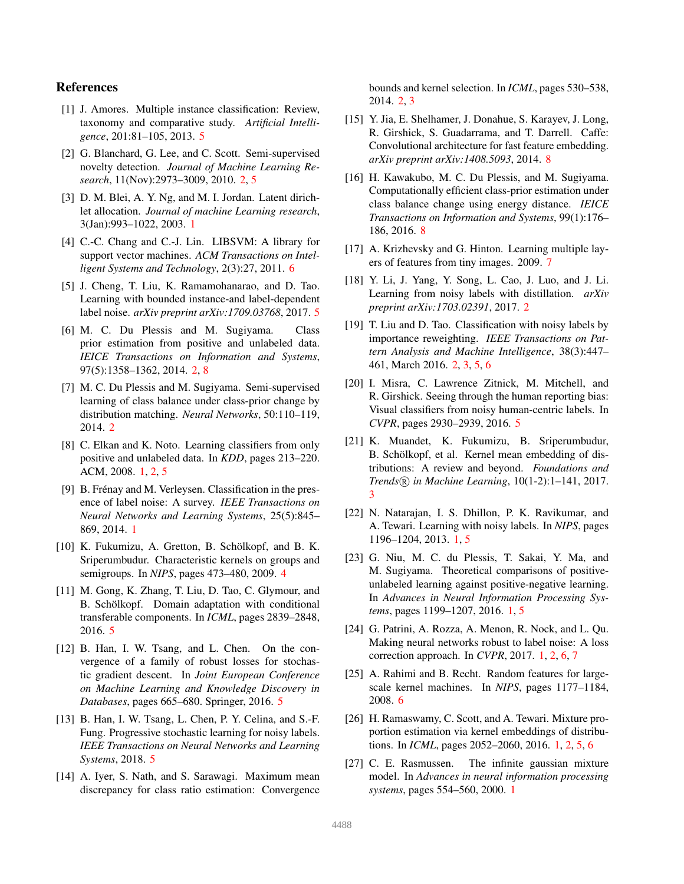## References

- <span id="page-8-20"></span>[1] J. Amores. Multiple instance classification: Review, taxonomy and comparative study. *Artificial Intelligence*, 201:81–105, 2013. [5](#page-4-1)
- <span id="page-8-8"></span>[2] G. Blanchard, G. Lee, and C. Scott. Semi-supervised novelty detection. *Journal of Machine Learning Research*, 11(Nov):2973–3009, 2010. [2,](#page-1-0) [5](#page-4-1)
- <span id="page-8-5"></span>[3] D. M. Blei, A. Y. Ng, and M. I. Jordan. Latent dirichlet allocation. *Journal of machine Learning research*, 3(Jan):993–1022, 2003. [1](#page-0-1)
- <span id="page-8-23"></span>[4] C.-C. Chang and C.-J. Lin. LIBSVM: A library for support vector machines. *ACM Transactions on Intelligent Systems and Technology*, 2(3):27, 2011. [6](#page-5-3)
- <span id="page-8-16"></span>[5] J. Cheng, T. Liu, K. Ramamohanarao, and D. Tao. Learning with bounded instance-and label-dependent label noise. *arXiv preprint arXiv:1709.03768*, 2017. [5](#page-4-1)
- <span id="page-8-13"></span>[6] M. C. Du Plessis and M. Sugiyama. Class prior estimation from positive and unlabeled data. *IEICE Transactions on Information and Systems*, 97(5):1358–1362, 2014. [2,](#page-1-0) [8](#page-7-2)
- <span id="page-8-11"></span>[7] M. C. Du Plessis and M. Sugiyama. Semi-supervised learning of class balance under class-prior change by distribution matching. *Neural Networks*, 50:110–119, 2014. [2](#page-1-0)
- <span id="page-8-6"></span>[8] C. Elkan and K. Noto. Learning classifiers from only positive and unlabeled data. In *KDD*, pages 213–220. ACM, 2008. [1,](#page-0-1) [2,](#page-1-0) [5](#page-4-1)
- <span id="page-8-0"></span>[9] B. Frénay and M. Verleysen. Classification in the presence of label noise: A survey. *IEEE Transactions on Neural Networks and Learning Systems*, 25(5):845– 869, 2014. [1](#page-0-1)
- <span id="page-8-15"></span>[10] K. Fukumizu, A. Gretton, B. Schölkopf, and B. K. Sriperumbudur. Characteristic kernels on groups and semigroups. In *NIPS*, pages 473–480, 2009. [4](#page-3-3)
- <span id="page-8-19"></span>[11] M. Gong, K. Zhang, T. Liu, D. Tao, C. Glymour, and B. Schölkopf. Domain adaptation with conditional transferable components. In *ICML*, pages 2839–2848, 2016. [5](#page-4-1)
- <span id="page-8-18"></span>[12] B. Han, I. W. Tsang, and L. Chen. On the convergence of a family of robust losses for stochastic gradient descent. In *Joint European Conference on Machine Learning and Knowledge Discovery in Databases*, pages 665–680. Springer, 2016. [5](#page-4-1)
- <span id="page-8-17"></span>[13] B. Han, I. W. Tsang, L. Chen, P. Y. Celina, and S.-F. Fung. Progressive stochastic learning for noisy labels. *IEEE Transactions on Neural Networks and Learning Systems*, 2018. [5](#page-4-1)
- <span id="page-8-12"></span>[14] A. Iyer, S. Nath, and S. Sarawagi. Maximum mean discrepancy for class ratio estimation: Convergence

bounds and kernel selection. In *ICML*, pages 530–538, 2014. [2,](#page-1-0) [3](#page-2-4)

- <span id="page-8-25"></span>[15] Y. Jia, E. Shelhamer, J. Donahue, S. Karayev, J. Long, R. Girshick, S. Guadarrama, and T. Darrell. Caffe: Convolutional architecture for fast feature embedding. *arXiv preprint arXiv:1408.5093*, 2014. [8](#page-7-2)
- <span id="page-8-26"></span>[16] H. Kawakubo, M. C. Du Plessis, and M. Sugiyama. Computationally efficient class-prior estimation under class balance change using energy distance. *IEICE Transactions on Information and Systems*, 99(1):176– 186, 2016. [8](#page-7-2)
- <span id="page-8-24"></span>[17] A. Krizhevsky and G. Hinton. Learning multiple layers of features from tiny images. 2009. [7](#page-6-5)
- <span id="page-8-10"></span>[18] Y. Li, J. Yang, Y. Song, L. Cao, J. Luo, and J. Li. Learning from noisy labels with distillation. *arXiv preprint arXiv:1703.02391*, 2017. [2](#page-1-0)
- <span id="page-8-9"></span>[19] T. Liu and D. Tao. Classification with noisy labels by importance reweighting. *IEEE Transactions on Pattern Analysis and Machine Intelligence*, 38(3):447– 461, March 2016. [2,](#page-1-0) [3,](#page-2-4) [5,](#page-4-1) [6](#page-5-3)
- <span id="page-8-21"></span>[20] I. Misra, C. Lawrence Zitnick, M. Mitchell, and R. Girshick. Seeing through the human reporting bias: Visual classifiers from noisy human-centric labels. In *CVPR*, pages 2930–2939, 2016. [5](#page-4-1)
- <span id="page-8-14"></span>[21] K. Muandet, K. Fukumizu, B. Sriperumbudur, B. Schölkopf, et al. Kernel mean embedding of distributions: A review and beyond. *Foundations and Trends* <sup>R</sup> *in Machine Learning*, 10(1-2):1–141, 2017. [3](#page-2-4)
- <span id="page-8-1"></span>[22] N. Natarajan, I. S. Dhillon, P. K. Ravikumar, and A. Tewari. Learning with noisy labels. In *NIPS*, pages 1196–1204, 2013. [1,](#page-0-1) [5](#page-4-1)
- <span id="page-8-3"></span>[23] G. Niu, M. C. du Plessis, T. Sakai, Y. Ma, and M. Sugiyama. Theoretical comparisons of positiveunlabeled learning against positive-negative learning. In *Advances in Neural Information Processing Systems*, pages 1199–1207, 2016. [1,](#page-0-1) [5](#page-4-1)
- <span id="page-8-2"></span>[24] G. Patrini, A. Rozza, A. Menon, R. Nock, and L. Qu. Making neural networks robust to label noise: A loss correction approach. In *CVPR*, 2017. [1,](#page-0-1) [2,](#page-1-0) [6,](#page-5-3) [7](#page-6-5)
- <span id="page-8-22"></span>[25] A. Rahimi and B. Recht. Random features for largescale kernel machines. In *NIPS*, pages 1177–1184, 2008. [6](#page-5-3)
- <span id="page-8-7"></span>[26] H. Ramaswamy, C. Scott, and A. Tewari. Mixture proportion estimation via kernel embeddings of distributions. In *ICML*, pages 2052–2060, 2016. [1,](#page-0-1) [2,](#page-1-0) [5,](#page-4-1) [6](#page-5-3)
- <span id="page-8-4"></span>[27] C. E. Rasmussen. The infinite gaussian mixture model. In *Advances in neural information processing systems*, pages 554–560, 2000. [1](#page-0-1)